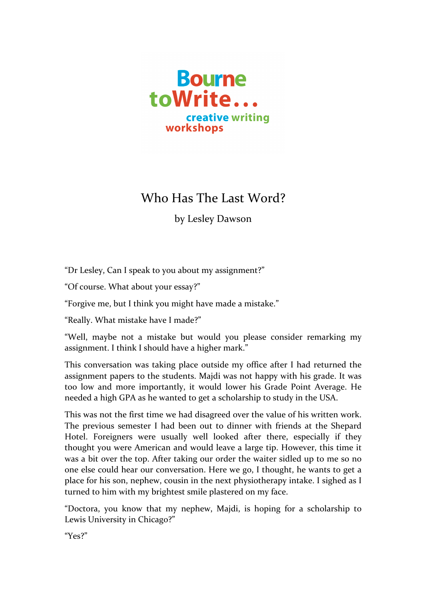

## Who Has The Last Word?

by Lesley Dawson

"Dr Lesley, Can I speak to you about my assignment?"

"Of course. What about your essay?"

"Forgive me, but I think you might have made a mistake."

"Really. What mistake have I made?"

"Well, maybe not a mistake but would you please consider remarking my assignment. I think I should have a higher mark."

This conversation was taking place outside my office after I had returned the assignment papers to the students. Majdi was not happy with his grade. It was too low and more importantly, it would lower his Grade Point Average. He needed a high GPA as he wanted to get a scholarship to study in the USA.

This was not the first time we had disagreed over the value of his written work. The previous semester I had been out to dinner with friends at the Shepard Hotel. Foreigners were usually well looked after there, especially if they thought you were American and would leave a large tip. However, this time it was a bit over the top. After taking our order the waiter sidled up to me so no one else could hear our conversation. Here we go, I thought, he wants to get a place for his son, nephew, cousin in the next physiotherapy intake. I sighed as I turned to him with my brightest smile plastered on my face.

"Doctora, you know that my nephew, Majdi, is hoping for a scholarship to Lewis University in Chicago?"

"Yes?"